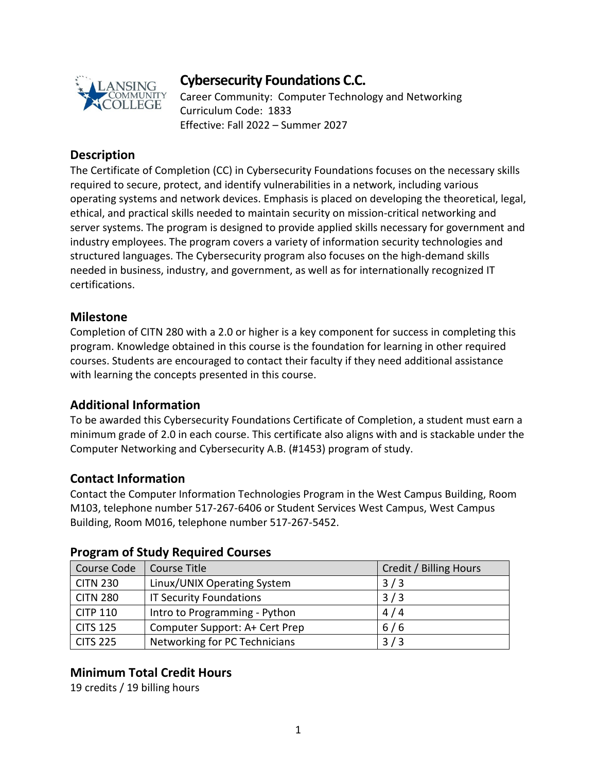

# **Cybersecurity Foundations C.C.**

Career Community: Computer Technology and Networking Curriculum Code: 1833 Effective: Fall 2022 – Summer 2027

## **Description**

The Certificate of Completion (CC) in Cybersecurity Foundations focuses on the necessary skills required to secure, protect, and identify vulnerabilities in a network, including various operating systems and network devices. Emphasis is placed on developing the theoretical, legal, ethical, and practical skills needed to maintain security on mission-critical networking and server systems. The program is designed to provide applied skills necessary for government and industry employees. The program covers a variety of information security technologies and structured languages. The Cybersecurity program also focuses on the high-demand skills needed in business, industry, and government, as well as for internationally recognized IT certifications.

#### **Milestone**

Completion of CITN 280 with a 2.0 or higher is a key component for success in completing this program. Knowledge obtained in this course is the foundation for learning in other required courses. Students are encouraged to contact their faculty if they need additional assistance with learning the concepts presented in this course.

#### **Additional Information**

To be awarded this Cybersecurity Foundations Certificate of Completion, a student must earn a minimum grade of 2.0 in each course. This certificate also aligns with and is stackable under the Computer Networking and Cybersecurity A.B. (#1453) program of study.

#### **Contact Information**

Contact the Computer Information Technologies Program in the West Campus Building, Room M103, telephone number 517-267-6406 or Student Services West Campus, West Campus Building, Room M016, telephone number 517-267-5452.

| Course Code     | Course Title                   | Credit / Billing Hours |
|-----------------|--------------------------------|------------------------|
| <b>CITN 230</b> | Linux/UNIX Operating System    | 3/3                    |
| <b>CITN 280</b> | <b>IT Security Foundations</b> | 3/3                    |
| <b>CITP 110</b> | Intro to Programming - Python  | 4/4                    |
| <b>CITS 125</b> | Computer Support: A+ Cert Prep | 6/6                    |
| <b>CITS 225</b> | Networking for PC Technicians  | 3/3                    |

#### **Program of Study Required Courses**

## **Minimum Total Credit Hours**

19 credits / 19 billing hours